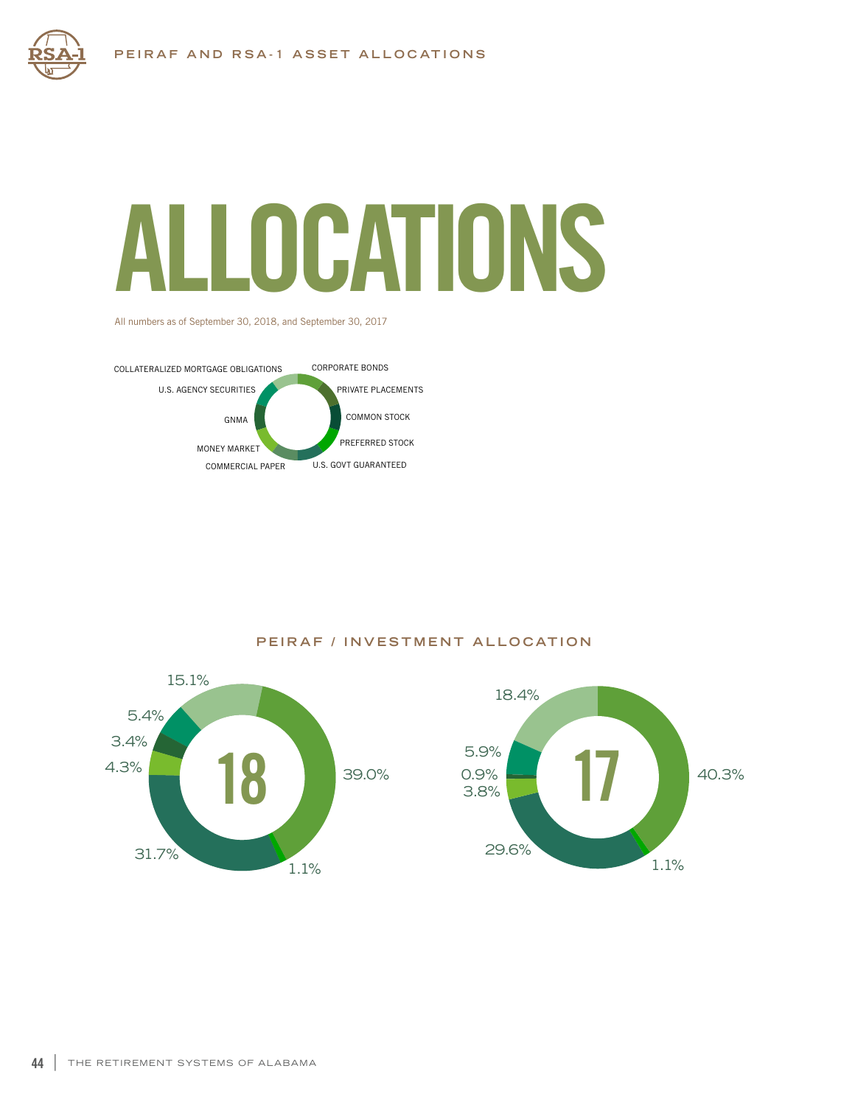## ALLOCATIONS

All numbers as of September 30, 2018, and September 30, 2017